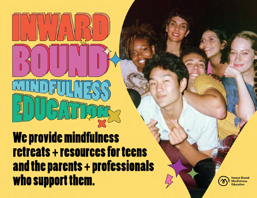We provide mindfulness **retreats + resources for teens** and the parents + professionals who support them.



**Inward Bound Mindfulness Education**